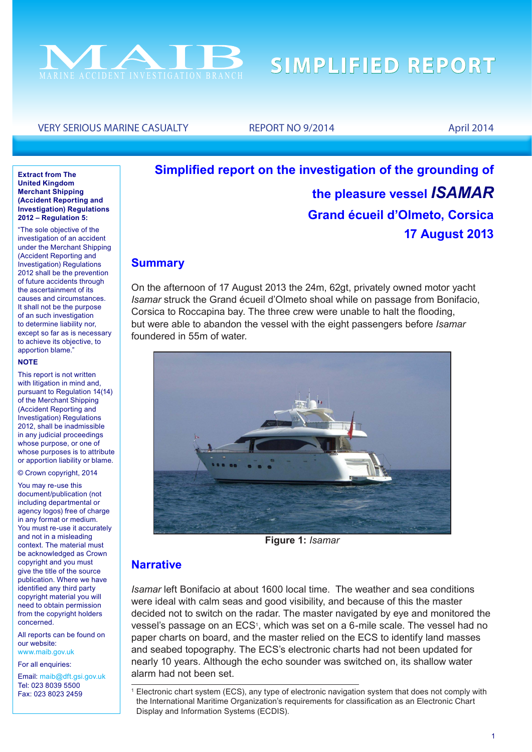

#### VERY SERIOUS MARINE CASUALTY REPORT NO 9/2014 April 2014

#### **Extract from The United Kingdom Merchant Shipping (Accident Reporting and Investigation) Regulations 2012 – Regulation 5:**

"The sole objective of the investigation of an accident under the Merchant Shipping (Accident Reporting and Investigation) Regulations 2012 shall be the prevention of future accidents through the ascertainment of its causes and circumstances. It shall not be the purpose of an such investigation to determine liability nor, except so far as is necessary to achieve its objective, to apportion blame."

#### **NOTE**

This report is not written with litigation in mind and, pursuant to Regulation 14(14) of the Merchant Shipping (Accident Reporting and Investigation) Regulations 2012, shall be inadmissible in any judicial proceedings whose purpose, or one of whose purposes is to attribute or apportion liability or blame.

© Crown copyright, 2014

You may re-use this document/publication (not including departmental or agency logos) free of charge in any format or medium. You must re-use it accurately and not in a misleading context. The material must be acknowledged as Crown copyright and you must give the title of the source publication. Where we have identified any third party copyright material you will need to obtain permission from the copyright holders concerned.

All reports can be found on our website: www.maib.gov.uk

For all enquiries:

Email: maib@dft.gsi.gov.uk Tel: 023 8039 5500 Fax: 023 8023 2459

# **Simplified report on the investigation of the grounding of the pleasure vessel** *ISAMAR* **Grand écueil d'Olmeto, Corsica 17 August 2013**

#### **Summary**

On the afternoon of 17 August 2013 the 24m, 62gt, privately owned motor yacht *Isamar* struck the Grand écueil d'Olmeto shoal while on passage from Bonifacio, Corsica to Roccapina bay. The three crew were unable to halt the flooding, but were able to abandon the vessel with the eight passengers before *Isamar* foundered in 55m of water.



**Figure 1:** *Isamar*

#### **Narrative**

*Isamar* left Bonifacio at about 1600 local time. The weather and sea conditions were ideal with calm seas and good visibility, and because of this the master decided not to switch on the radar. The master navigated by eye and monitored the vessel's passage on an ECS<sup>1</sup>, which was set on a 6-mile scale. The vessel had no paper charts on board, and the master relied on the ECS to identify land masses and seabed topography. The ECS's electronic charts had not been updated for nearly 10 years. Although the echo sounder was switched on, its shallow water alarm had not been set.

<sup>1</sup> Electronic chart system (ECS), any type of electronic navigation system that does not comply with the International Maritime Organization's requirements for classification as an Electronic Chart Display and Information Systems (ECDIS).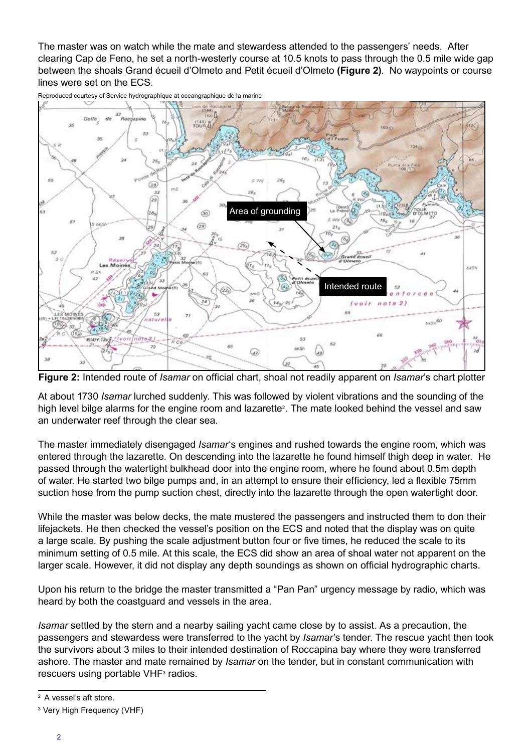The master was on watch while the mate and stewardess attended to the passengers' needs. After clearing Cap de Feno, he set a north-westerly course at 10.5 knots to pass through the 0.5 mile wide gap between the shoals Grand écueil d'Olmeto and Petit écueil d'Olmeto **(Figure 2)**. No waypoints or course lines were set on the ECS.



Reproduced courtesy of Service hydrographique at oceangraphique de la marine

**Figure 2:** Intended route of *Isamar* on official chart, shoal not readily apparent on *Isamar*'s chart plotter

At about 1730 *Isamar* lurched suddenly. This was followed by violent vibrations and the sounding of the high level bilge alarms for the engine room and lazarette<sup>2</sup>. The mate looked behind the vessel and saw an underwater reef through the clear sea.

The master immediately disengaged *Isamar*'s engines and rushed towards the engine room, which was entered through the lazarette. On descending into the lazarette he found himself thigh deep in water. He passed through the watertight bulkhead door into the engine room, where he found about 0.5m depth of water. He started two bilge pumps and, in an attempt to ensure their efficiency, led a flexible 75mm suction hose from the pump suction chest, directly into the lazarette through the open watertight door.

While the master was below decks, the mate mustered the passengers and instructed them to don their lifejackets. He then checked the vessel's position on the ECS and noted that the display was on quite a large scale. By pushing the scale adjustment button four or five times, he reduced the scale to its minimum setting of 0.5 mile. At this scale, the ECS did show an area of shoal water not apparent on the larger scale. However, it did not display any depth soundings as shown on official hydrographic charts.

Upon his return to the bridge the master transmitted a "Pan Pan" urgency message by radio, which was heard by both the coastguard and vessels in the area.

*Isamar* settled by the stern and a nearby sailing yacht came close by to assist. As a precaution, the passengers and stewardess were transferred to the yacht by *Isamar*'s tender. The rescue yacht then took the survivors about 3 miles to their intended destination of Roccapina bay where they were transferred ashore. The master and mate remained by *Isamar* on the tender, but in constant communication with rescuers using portable VHF<sup>3</sup> radios.

<sup>&</sup>lt;sup>2</sup> A vessel's aft store.

<sup>3</sup> Very High Frequency (VHF)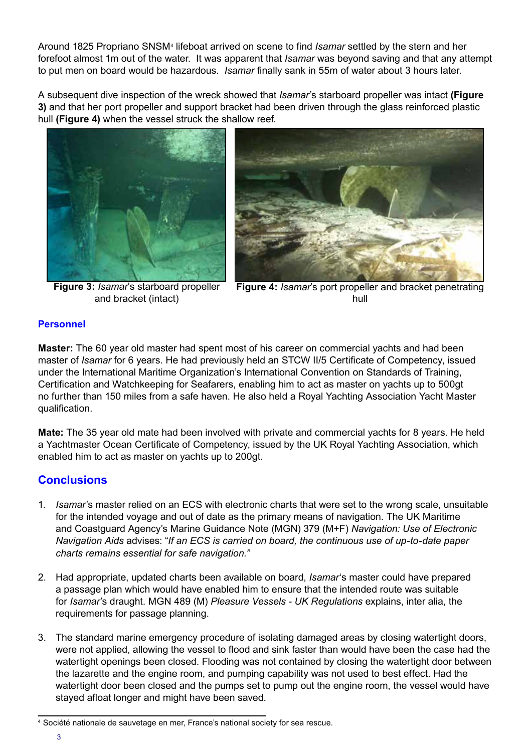Around 1825 Propriano SNSM<sup>4</sup> lifeboat arrived on scene to find *Isamar* settled by the stern and her forefoot almost 1m out of the water. It was apparent that *Isamar* was beyond saving and that any attempt to put men on board would be hazardous. *Isamar* finally sank in 55m of water about 3 hours later.

A subsequent dive inspection of the wreck showed that *Isamar*'s starboard propeller was intact **(Figure 3)** and that her port propeller and support bracket had been driven through the glass reinforced plastic hull **(Figure 4)** when the vessel struck the shallow reef.



**Figure 3:** *Isamar*'s starboard propeller and bracket (intact)



**Figure 4:** *Isamar*'s port propeller and bracket penetrating hull

#### **Personnel**

**Master:** The 60 year old master had spent most of his career on commercial yachts and had been master of *Isamar* for 6 years. He had previously held an STCW II/5 Certificate of Competency, issued under the International Maritime Organization's International Convention on Standards of Training, Certification and Watchkeeping for Seafarers, enabling him to act as master on yachts up to 500gt no further than 150 miles from a safe haven. He also held a Royal Yachting Association Yacht Master qualification.

**Mate:** The 35 year old mate had been involved with private and commercial yachts for 8 years. He held a Yachtmaster Ocean Certificate of Competency, issued by the UK Royal Yachting Association, which enabled him to act as master on yachts up to 200gt.

### **Conclusions**

- 1. *Isamar*'s master relied on an ECS with electronic charts that were set to the wrong scale, unsuitable for the intended voyage and out of date as the primary means of navigation. The UK Maritime and Coastguard Agency's Marine Guidance Note (MGN) 379 (M+F) *Navigation: Use of Electronic Navigation Aids* advises: "*If an ECS is carried on board, the continuous use of up-to-date paper charts remains essential for safe navigation."*
- 2. Had appropriate, updated charts been available on board, *Isamar*'s master could have prepared a passage plan which would have enabled him to ensure that the intended route was suitable for *Isamar*'s draught. MGN 489 (M) *Pleasure Vessels - UK Regulations* explains, inter alia, the requirements for passage planning.
- 3. The standard marine emergency procedure of isolating damaged areas by closing watertight doors, were not applied, allowing the vessel to flood and sink faster than would have been the case had the watertight openings been closed. Flooding was not contained by closing the watertight door between the lazarette and the engine room, and pumping capability was not used to best effect. Had the watertight door been closed and the pumps set to pump out the engine room, the vessel would have stayed afloat longer and might have been saved.

<sup>4</sup> Société nationale de sauvetage en mer, France's national society for sea rescue.